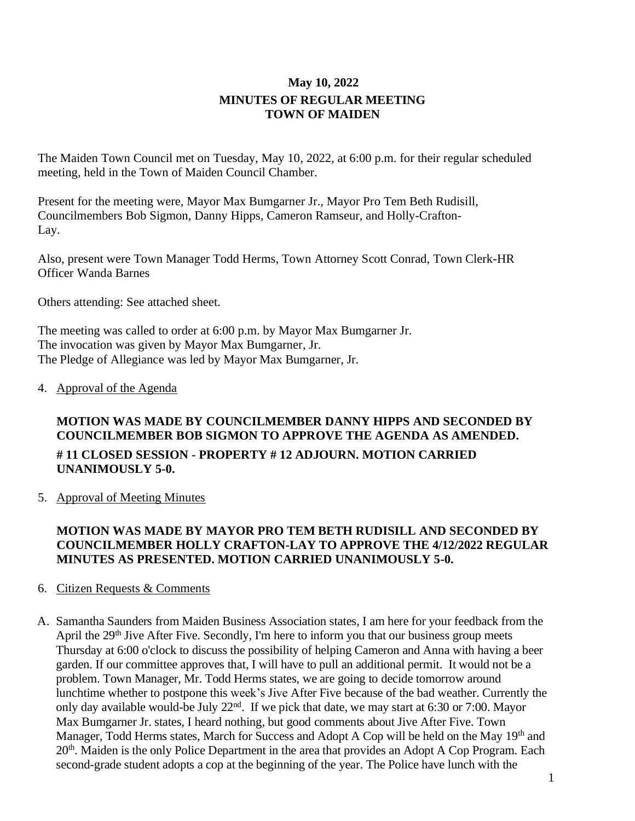# **May 10, 2022 MINUTES OF REGULAR MEETING TOWN OF MAIDEN**

The Maiden Town Council met on Tuesday, May 10, 2022, at 6:00 p.m. for their regular scheduled meeting, held in the Town of Maiden Council Chamber.

Present for the meeting were, Mayor Max Bumgarner Jr., Mayor Pro Tem Beth Rudisill, Councilmembers Bob Sigmon, Danny Hipps, Cameron Ramseur, and Holly-Crafton-Lay.

Also, present were Town Manager Todd Herms, Town Attorney Scott Conrad, Town Clerk-HR Officer Wanda Barnes

Others attending: See attached sheet.

The meeting was called to order at 6:00 p.m. by Mayor Max Bumgarner Jr. The invocation was given by Mayor Max Bumgarner, Jr. The Pledge of Allegiance was led by Mayor Max Bumgarner, Jr.

### 4. Approval of the Agenda

# **MOTION WAS MADE BY COUNCILMEMBER DANNY HIPPS AND SECONDED BY COUNCILMEMBER BOB SIGMON TO APPROVE THE AGENDA AS AMENDED. # 11 CLOSED SESSION - PROPERTY # 12 ADJOURN. MOTION CARRIED UNANIMOUSLY 5-0.**

5. Approval of Meeting Minutes

# **MOTION WAS MADE BY MAYOR PRO TEM BETH RUDISILL AND SECONDED BY COUNCILMEMBER HOLLY CRAFTON-LAY TO APPROVE THE 4/12/2022 REGULAR MINUTES AS PRESENTED. MOTION CARRIED UNANIMOUSLY 5-0.**

## 6. Citizen Requests & Comments

A. Samantha Saunders from Maiden Business Association states, I am here for your feedback from the April the 29<sup>th</sup> Jive After Five. Secondly, I'm here to inform you that our business group meets Thursday at 6:00 o'clock to discuss the possibility of helping Cameron and Anna with having a beer garden. If our committee approves that, I will have to pull an additional permit. It would not be a problem. Town Manager, Mr. Todd Herms states, we are going to decide tomorrow around lunchtime whether to postpone this week's Jive After Five because of the bad weather. Currently the only day available would-be July 22nd. If we pick that date, we may start at 6:30 or 7:00. Mayor Max Bumgarner Jr. states, I heard nothing, but good comments about Jive After Five. Town Manager, Todd Herms states, March for Success and Adopt A Cop will be held on the May 19<sup>th</sup> and 20<sup>th</sup>. Maiden is the only Police Department in the area that provides an Adopt A Cop Program. Each second-grade student adopts a cop at the beginning of the year. The Police have lunch with the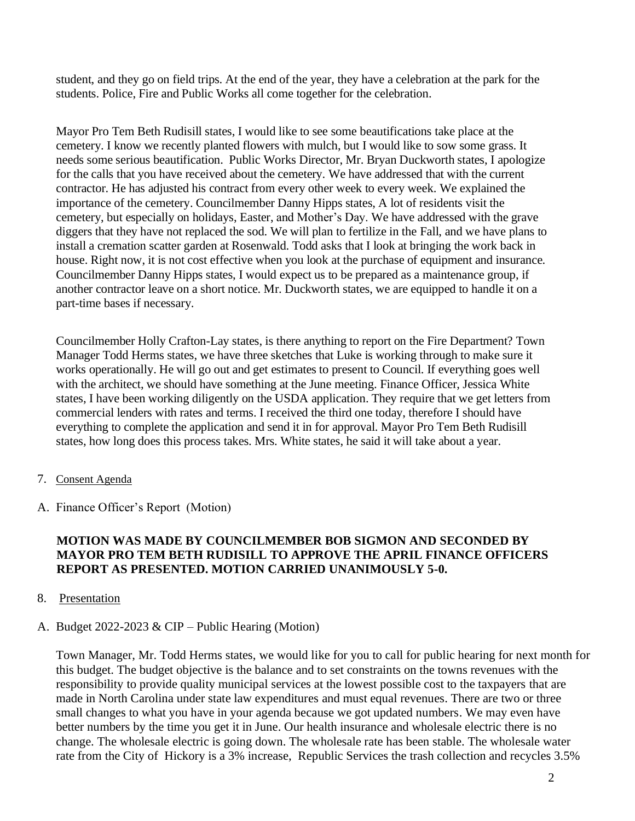student, and they go on field trips. At the end of the year, they have a celebration at the park for the students. Police, Fire and Public Works all come together for the celebration.

Mayor Pro Tem Beth Rudisill states, I would like to see some beautifications take place at the cemetery. I know we recently planted flowers with mulch, but I would like to sow some grass. It needs some serious beautification. Public Works Director, Mr. Bryan Duckworth states, I apologize for the calls that you have received about the cemetery. We have addressed that with the current contractor. He has adjusted his contract from every other week to every week. We explained the importance of the cemetery. Councilmember Danny Hipps states, A lot of residents visit the cemetery, but especially on holidays, Easter, and Mother's Day. We have addressed with the grave diggers that they have not replaced the sod. We will plan to fertilize in the Fall, and we have plans to install a cremation scatter garden at Rosenwald. Todd asks that I look at bringing the work back in house. Right now, it is not cost effective when you look at the purchase of equipment and insurance. Councilmember Danny Hipps states, I would expect us to be prepared as a maintenance group, if another contractor leave on a short notice. Mr. Duckworth states, we are equipped to handle it on a part-time bases if necessary.

Councilmember Holly Crafton-Lay states, is there anything to report on the Fire Department? Town Manager Todd Herms states, we have three sketches that Luke is working through to make sure it works operationally. He will go out and get estimates to present to Council. If everything goes well with the architect, we should have something at the June meeting. Finance Officer, Jessica White states, I have been working diligently on the USDA application. They require that we get letters from commercial lenders with rates and terms. I received the third one today, therefore I should have everything to complete the application and send it in for approval. Mayor Pro Tem Beth Rudisill states, how long does this process takes. Mrs. White states, he said it will take about a year.

- 7. Consent Agenda
- A. Finance Officer's Report (Motion)

### **MOTION WAS MADE BY COUNCILMEMBER BOB SIGMON AND SECONDED BY MAYOR PRO TEM BETH RUDISILL TO APPROVE THE APRIL FINANCE OFFICERS REPORT AS PRESENTED. MOTION CARRIED UNANIMOUSLY 5-0.**

#### 8. Presentation

### A. Budget 2022-2023 & CIP – Public Hearing (Motion)

Town Manager, Mr. Todd Herms states, we would like for you to call for public hearing for next month for this budget. The budget objective is the balance and to set constraints on the towns revenues with the responsibility to provide quality municipal services at the lowest possible cost to the taxpayers that are made in North Carolina under state law expenditures and must equal revenues. There are two or three small changes to what you have in your agenda because we got updated numbers. We may even have better numbers by the time you get it in June. Our health insurance and wholesale electric there is no change. The wholesale electric is going down. The wholesale rate has been stable. The wholesale water rate from the City of Hickory is a 3% increase, Republic Services the trash collection and recycles 3.5%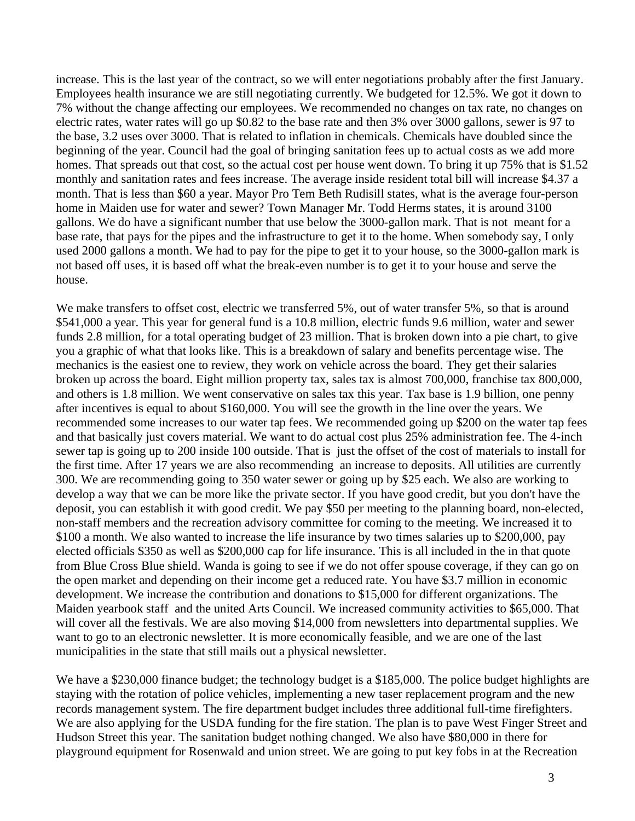increase. This is the last year of the contract, so we will enter negotiations probably after the first January. Employees health insurance we are still negotiating currently. We budgeted for 12.5%. We got it down to 7% without the change affecting our employees. We recommended no changes on tax rate, no changes on electric rates, water rates will go up \$0.82 to the base rate and then 3% over 3000 gallons, sewer is 97 to the base, 3.2 uses over 3000. That is related to inflation in chemicals. Chemicals have doubled since the beginning of the year. Council had the goal of bringing sanitation fees up to actual costs as we add more homes. That spreads out that cost, so the actual cost per house went down. To bring it up 75% that is \$1.52 monthly and sanitation rates and fees increase. The average inside resident total bill will increase \$4.37 a month. That is less than \$60 a year. Mayor Pro Tem Beth Rudisill states, what is the average four-person home in Maiden use for water and sewer? Town Manager Mr. Todd Herms states, it is around 3100 gallons. We do have a significant number that use below the 3000-gallon mark. That is not meant for a base rate, that pays for the pipes and the infrastructure to get it to the home. When somebody say, I only used 2000 gallons a month. We had to pay for the pipe to get it to your house, so the 3000-gallon mark is not based off uses, it is based off what the break-even number is to get it to your house and serve the house.

We make transfers to offset cost, electric we transferred 5%, out of water transfer 5%, so that is around \$541,000 a year. This year for general fund is a 10.8 million, electric funds 9.6 million, water and sewer funds 2.8 million, for a total operating budget of 23 million. That is broken down into a pie chart, to give you a graphic of what that looks like. This is a breakdown of salary and benefits percentage wise. The mechanics is the easiest one to review, they work on vehicle across the board. They get their salaries broken up across the board. Eight million property tax, sales tax is almost 700,000, franchise tax 800,000, and others is 1.8 million. We went conservative on sales tax this year. Tax base is 1.9 billion, one penny after incentives is equal to about \$160,000. You will see the growth in the line over the years. We recommended some increases to our water tap fees. We recommended going up \$200 on the water tap fees and that basically just covers material. We want to do actual cost plus 25% administration fee. The 4-inch sewer tap is going up to 200 inside 100 outside. That is just the offset of the cost of materials to install for the first time. After 17 years we are also recommending an increase to deposits. All utilities are currently 300. We are recommending going to 350 water sewer or going up by \$25 each. We also are working to develop a way that we can be more like the private sector. If you have good credit, but you don't have the deposit, you can establish it with good credit. We pay \$50 per meeting to the planning board, non-elected, non-staff members and the recreation advisory committee for coming to the meeting. We increased it to \$100 a month. We also wanted to increase the life insurance by two times salaries up to \$200,000, pay elected officials \$350 as well as \$200,000 cap for life insurance. This is all included in the in that quote from Blue Cross Blue shield. Wanda is going to see if we do not offer spouse coverage, if they can go on the open market and depending on their income get a reduced rate. You have \$3.7 million in economic development. We increase the contribution and donations to \$15,000 for different organizations. The Maiden yearbook staff and the united Arts Council. We increased community activities to \$65,000. That will cover all the festivals. We are also moving \$14,000 from newsletters into departmental supplies. We want to go to an electronic newsletter. It is more economically feasible, and we are one of the last municipalities in the state that still mails out a physical newsletter.

We have a \$230,000 finance budget; the technology budget is a \$185,000. The police budget highlights are staying with the rotation of police vehicles, implementing a new taser replacement program and the new records management system. The fire department budget includes three additional full-time firefighters. We are also applying for the USDA funding for the fire station. The plan is to pave West Finger Street and Hudson Street this year. The sanitation budget nothing changed. We also have \$80,000 in there for playground equipment for Rosenwald and union street. We are going to put key fobs in at the Recreation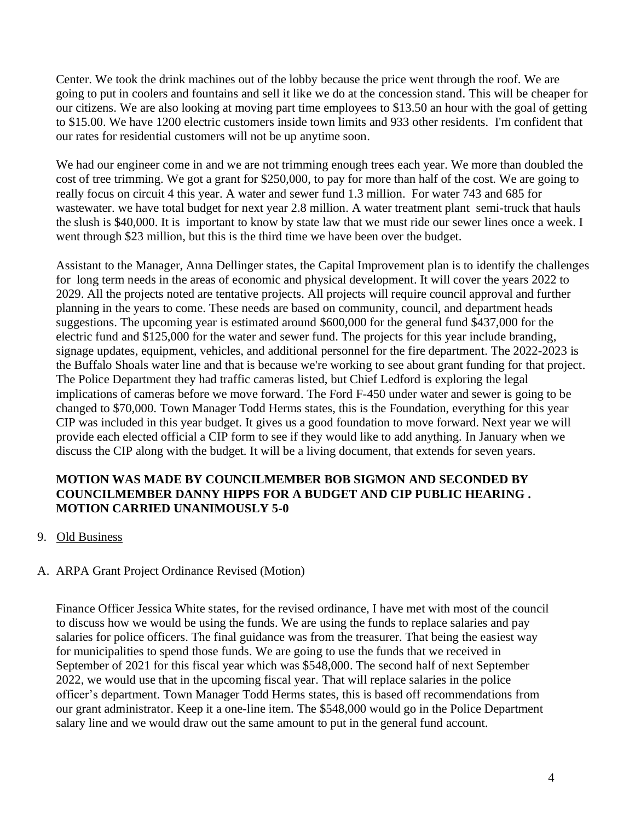Center. We took the drink machines out of the lobby because the price went through the roof. We are going to put in coolers and fountains and sell it like we do at the concession stand. This will be cheaper for our citizens. We are also looking at moving part time employees to \$13.50 an hour with the goal of getting to \$15.00. We have 1200 electric customers inside town limits and 933 other residents. I'm confident that our rates for residential customers will not be up anytime soon.

We had our engineer come in and we are not trimming enough trees each year. We more than doubled the cost of tree trimming. We got a grant for \$250,000, to pay for more than half of the cost. We are going to really focus on circuit 4 this year. A water and sewer fund 1.3 million. For water 743 and 685 for wastewater. we have total budget for next year 2.8 million. A water treatment plant semi-truck that hauls the slush is \$40,000. It is important to know by state law that we must ride our sewer lines once a week. I went through \$23 million, but this is the third time we have been over the budget.

Assistant to the Manager, Anna Dellinger states, the Capital Improvement plan is to identify the challenges for long term needs in the areas of economic and physical development. It will cover the years 2022 to 2029. All the projects noted are tentative projects. All projects will require council approval and further planning in the years to come. These needs are based on community, council, and department heads suggestions. The upcoming year is estimated around \$600,000 for the general fund \$437,000 for the electric fund and \$125,000 for the water and sewer fund. The projects for this year include branding, signage updates, equipment, vehicles, and additional personnel for the fire department. The 2022-2023 is the Buffalo Shoals water line and that is because we're working to see about grant funding for that project. The Police Department they had traffic cameras listed, but Chief Ledford is exploring the legal implications of cameras before we move forward. The Ford F-450 under water and sewer is going to be changed to \$70,000. Town Manager Todd Herms states, this is the Foundation, everything for this year CIP was included in this year budget. It gives us a good foundation to move forward. Next year we will provide each elected official a CIP form to see if they would like to add anything. In January when we discuss the CIP along with the budget. It will be a living document, that extends for seven years.

### **MOTION WAS MADE BY COUNCILMEMBER BOB SIGMON AND SECONDED BY COUNCILMEMBER DANNY HIPPS FOR A BUDGET AND CIP PUBLIC HEARING . MOTION CARRIED UNANIMOUSLY 5-0**

9. Old Business

## A. ARPA Grant Project Ordinance Revised (Motion)

Finance Officer Jessica White states, for the revised ordinance, I have met with most of the council to discuss how we would be using the funds. We are using the funds to replace salaries and pay salaries for police officers. The final guidance was from the treasurer. That being the easiest way for municipalities to spend those funds. We are going to use the funds that we received in September of 2021 for this fiscal year which was \$548,000. The second half of next September 2022, we would use that in the upcoming fiscal year. That will replace salaries in the police officer's department. Town Manager Todd Herms states, this is based off recommendations from our grant administrator. Keep it a one-line item. The \$548,000 would go in the Police Department salary line and we would draw out the same amount to put in the general fund account.